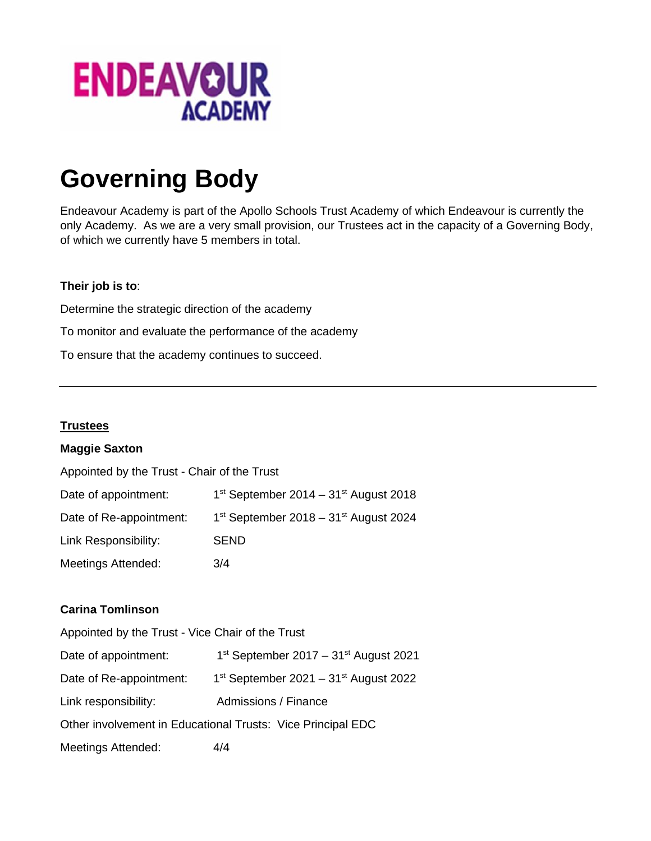

# **Governing Body**

Endeavour Academy is part of the Apollo Schools Trust Academy of which Endeavour is currently the only Academy. As we are a very small provision, our Trustees act in the capacity of a Governing Body, of which we currently have 5 members in total.

## **Their job is to**:

Determine the strategic direction of the academy To monitor and evaluate the performance of the academy To ensure that the academy continues to succeed.

# **Trustees**

## **Maggie Saxton**

| Appointed by the Trust - Chair of the Trust |                                                     |  |
|---------------------------------------------|-----------------------------------------------------|--|
| Date of appointment:                        | $1st$ September 2014 – 31 <sup>st</sup> August 2018 |  |
| Date of Re-appointment:                     | $1st$ September 2018 – 31 <sup>st</sup> August 2024 |  |
| Link Responsibility:                        | <b>SEND</b>                                         |  |
| <b>Meetings Attended:</b>                   | 3/4                                                 |  |

## **Carina Tomlinson**

| Appointed by the Trust - Vice Chair of the Trust            |                                                     |  |
|-------------------------------------------------------------|-----------------------------------------------------|--|
| Date of appointment:                                        | $1st$ September 2017 – 31 <sup>st</sup> August 2021 |  |
| Date of Re-appointment:                                     | $1st$ September 2021 – 31 $st$ August 2022          |  |
| Link responsibility:                                        | Admissions / Finance                                |  |
| Other involvement in Educational Trusts: Vice Principal EDC |                                                     |  |
| <b>Meetings Attended:</b>                                   | 4/4                                                 |  |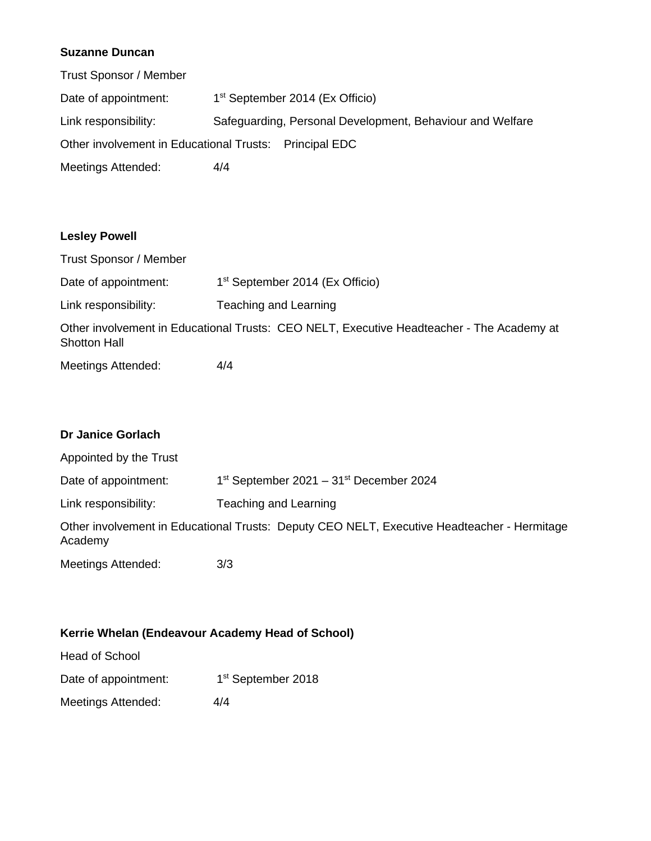# **Suzanne Duncan**

| Trust Sponsor / Member                                 |     |                                                           |
|--------------------------------------------------------|-----|-----------------------------------------------------------|
| Date of appointment:                                   |     | 1 <sup>st</sup> September 2014 (Ex Officio)               |
| Link responsibility:                                   |     | Safeguarding, Personal Development, Behaviour and Welfare |
| Other involvement in Educational Trusts: Principal EDC |     |                                                           |
| Meetings Attended:                                     | 4/4 |                                                           |

#### **Lesley Powell**

Trust Sponsor / Member Date of appointment: 1<sup>st</sup> September 2014 (Ex Officio) Link responsibility: Teaching and Learning Other involvement in Educational Trusts: CEO NELT, Executive Headteacher - The Academy at Shotton Hall Meetings Attended: 4/4

# **Dr Janice Gorlach**

| Appointed by the Trust |                                                                                             |
|------------------------|---------------------------------------------------------------------------------------------|
| Date of appointment:   | $1st$ September 2021 – 31 <sup>st</sup> December 2024                                       |
| Link responsibility:   | Teaching and Learning                                                                       |
| Academy                | Other involvement in Educational Trusts: Deputy CEO NELT, Executive Headteacher - Hermitage |
| Meetings Attended:     | 3/3                                                                                         |

# **Kerrie Whelan (Endeavour Academy Head of School)**

Head of School

Meetings Attended: 4/4